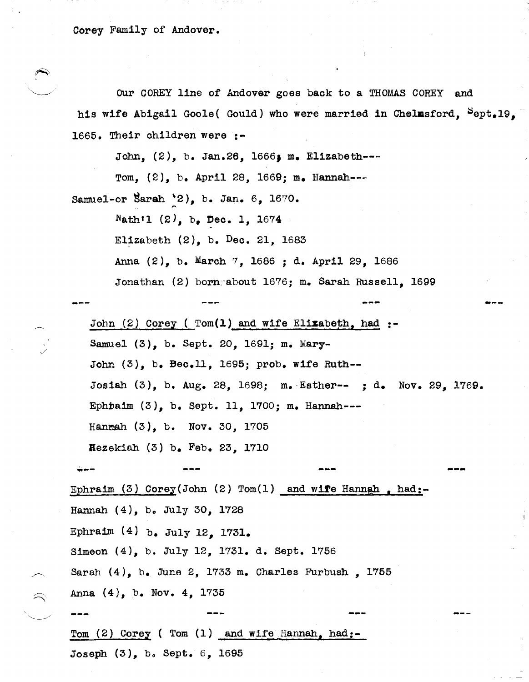Corey Family of Andover.

OUr COREY line of Andover goes back to a THOMAS COREY and his wife Abigail Goole( Gould) who were married in Chelmsford,  $^{S}$ ept.19, 1665. Their children were :-

John, (2), b. Jan.26, 1666; m. Elizabeth---

Tom, (2), b. April 28, 1669; m. Hannah---

Samuel-or Sarah '2), b. Jan.  $6, 1670.$ 

Nath<sup> $1$ </sup> (2), b. Dec. 1, 1674

Elizabeth  $(2)$ , b. Dec. 21, 1683

Anna (2), b. March 7, 1686 ; d. April 29, 1686

Jonathan (2) born about 1676; m. Sarah Russell, 1699

---

---

John  $(2)$  Corey (  $Tom(1)$  and wife Elizabeth, had :-Samuel (3), b. Sept. 20, 1691; m. Mary-John (3), b. Bec.ll, 1695; probe wife Ruth-- Josiah (3), b. Aug. 28, 1698; m.·Esther-- ; d. Nov. 29, 1769. EphDaim (3), b. Sept. 11, 1700; m. Hannah--- Hanaah (3), b. Nov. 30, 1705 Bezekiah (3) b. Feb. 23, 1710

~-- **---**

Ephraim (3) Corey (John (2) Tom(1) and wife Hannah, had:-Hannah  $(4)$ , b. July 30, 1728 Ephraim  $(4)$  b. July 12, 1731. Simeon (4), b. July 12, 1731. d. Sept. 1756 Sarah (4), b. June 2, 1733 m. Charles Furbush, 1755 Anna (4), b. Nov. 4, 1735

Tom  $(2)$  Corey ( Tom  $(1)$  and wife Hannah, had:-Joseph (3), bo Sept. 6, 1695